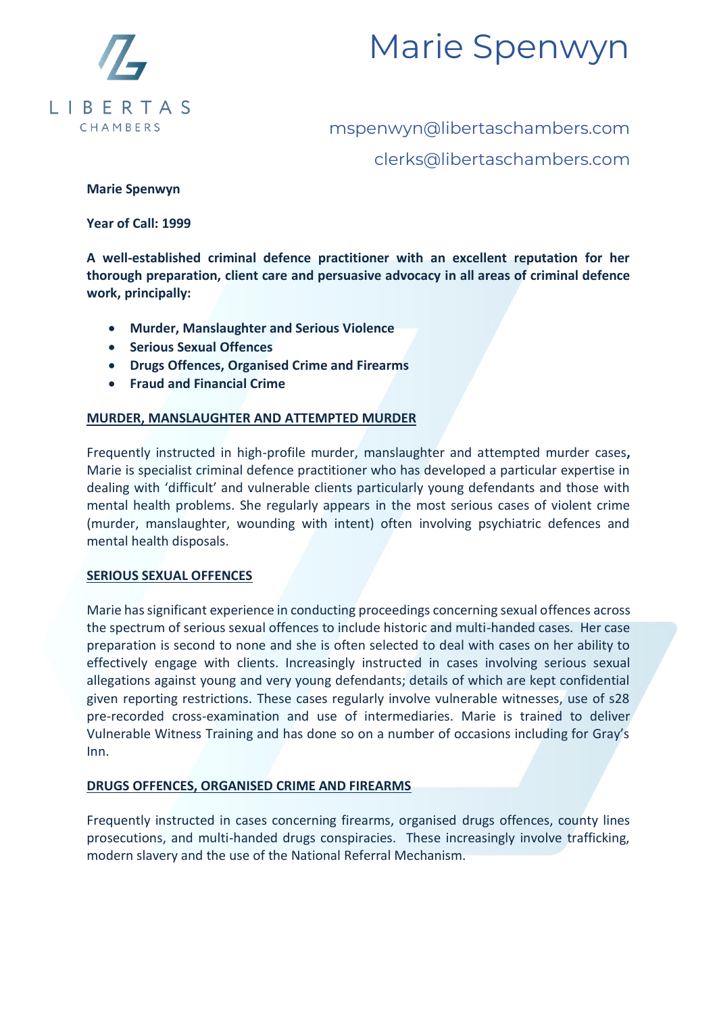

# mspenwyn@libertaschambers.com clerks@libertaschambers.com

### **Marie Spenwyn**

**Year of Call: 1999** 

**A well-established criminal defence practitioner with an excellent reputation for her thorough preparation, client care and persuasive advocacy in all areas of criminal defence work, principally:**

- **Murder, Manslaughter and Serious Violence**
- **Serious Sexual Offences**
- **Drugs Offences, Organised Crime and Firearms**
- **Fraud and Financial Crime**

### **MURDER, MANSLAUGHTER AND ATTEMPTED MURDER**

Frequently instructed in high-profile murder, manslaughter and attempted murder cases**,**  Marie is specialist criminal defence practitioner who has developed a particular expertise in dealing with 'difficult' and vulnerable clients particularly young defendants and those with mental health problems. She regularly appears in the most serious cases of violent crime (murder, manslaughter, wounding with intent) often involving psychiatric defences and mental health disposals.

### **SERIOUS SEXUAL OFFENCES**

Marie has significant experience in conducting proceedings concerning sexual offences across the spectrum of serious sexual offences to include historic and multi-handed cases. Her case preparation is second to none and she is often selected to deal with cases on her ability to effectively engage with clients. Increasingly instructed in cases involving serious sexual allegations against young and very young defendants; details of which are kept confidential given reporting restrictions. These cases regularly involve vulnerable witnesses, use of s28 pre-recorded cross-examination and use of intermediaries. Marie is trained to deliver Vulnerable Witness Training and has done so on a number of occasions including for Gray's Inn.

### **DRUGS OFFENCES, ORGANISED CRIME AND FIREARMS**

Frequently instructed in cases concerning firearms, organised drugs offences, county lines prosecutions, and multi-handed drugs conspiracies. These increasingly involve trafficking, modern slavery and the use of the National Referral Mechanism.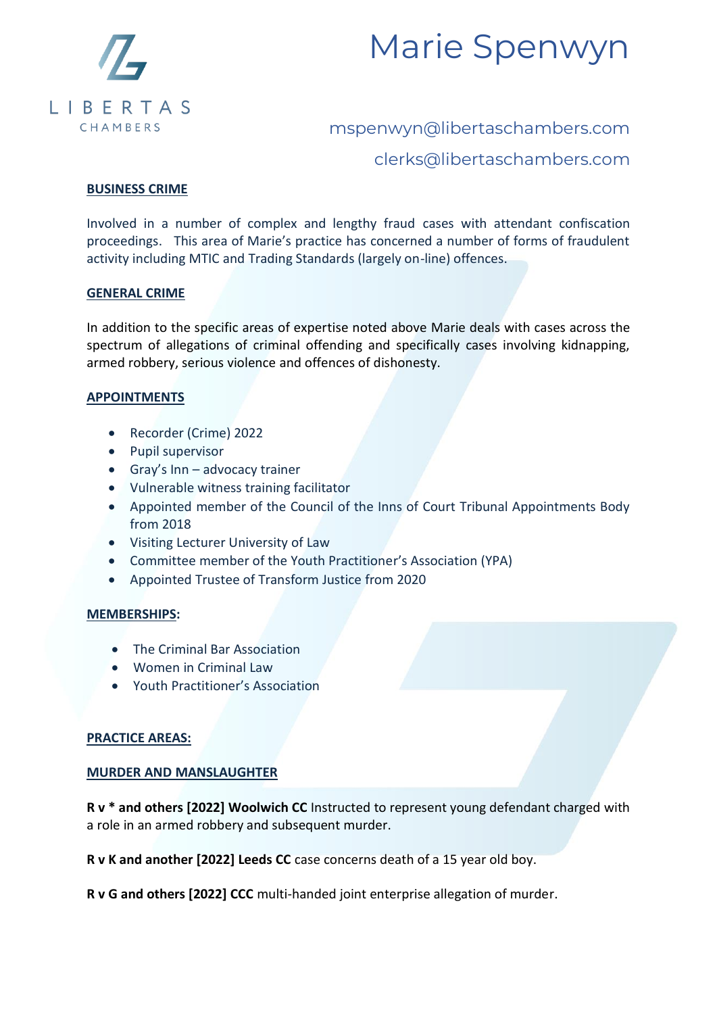



clerks@libertaschambers.com

### **BUSINESS CRIME**

Involved in a number of complex and lengthy fraud cases with attendant confiscation proceedings. This area of Marie's practice has concerned a number of forms of fraudulent activity including MTIC and Trading Standards (largely on-line) offences.

#### **GENERAL CRIME**

In addition to the specific areas of expertise noted above Marie deals with cases across the spectrum of allegations of criminal offending and specifically cases involving kidnapping, armed robbery, serious violence and offences of dishonesty.

#### **APPOINTMENTS**

- Recorder (Crime) 2022
- Pupil supervisor
- Gray's Inn advocacy trainer
- Vulnerable witness training facilitator
- Appointed member of the Council of the Inns of Court Tribunal Appointments Body from 2018
- Visiting Lecturer University of Law
- Committee member of the Youth Practitioner's Association (YPA)
- Appointed Trustee of Transform Justice from 2020

#### **MEMBERSHIPS:**

- The Criminal Bar Association
- Women in Criminal Law
- Youth Practitioner's Association

### **PRACTICE AREAS:**

### **MURDER AND MANSLAUGHTER**

**R v \* and others [2022] Woolwich CC** Instructed to represent young defendant charged with a role in an armed robbery and subsequent murder.

**R v K and another [2022] Leeds CC** case concerns death of a 15 year old boy.

**R v G and others [2022] CCC** multi-handed joint enterprise allegation of murder.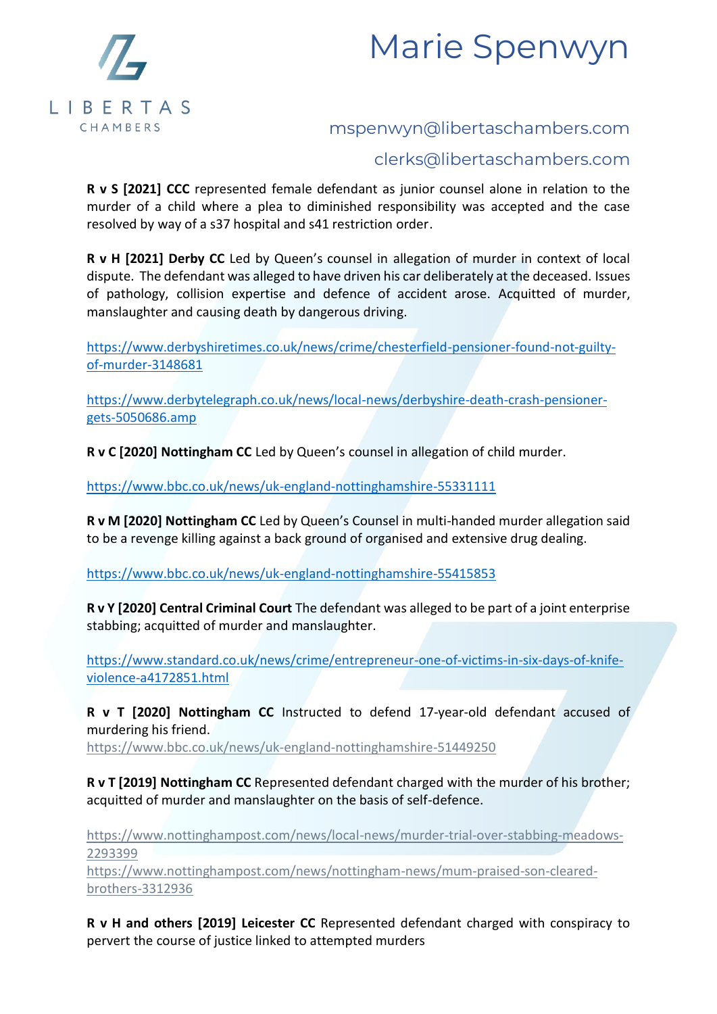



### clerks@libertaschambers.com

**R v S [2021] CCC** represented female defendant as junior counsel alone in relation to the murder of a child where a plea to diminished responsibility was accepted and the case resolved by way of a s37 hospital and s41 restriction order.

**R v H [2021] Derby CC** Led by Queen's counsel in allegation of murder in context of local dispute. The defendant was alleged to have driven his car deliberately at the deceased. Issues of pathology, collision expertise and defence of accident arose. Acquitted of murder, manslaughter and causing death by dangerous driving.

[https://www.derbyshiretimes.co.uk/news/crime/chesterfield-pensioner-found-not-guilty](https://www.derbyshiretimes.co.uk/news/crime/chesterfield-pensioner-found-not-guilty-of-murder-3148681)[of-murder-3148681](https://www.derbyshiretimes.co.uk/news/crime/chesterfield-pensioner-found-not-guilty-of-murder-3148681)

[https://www.derbytelegraph.co.uk/news/local-news/derbyshire-death-crash-pensioner](https://www.derbytelegraph.co.uk/news/local-news/derbyshire-death-crash-pensioner-gets-5050686.amp)[gets-5050686.amp](https://www.derbytelegraph.co.uk/news/local-news/derbyshire-death-crash-pensioner-gets-5050686.amp)

**R v C [2020] Nottingham CC** Led by Queen's counsel in allegation of child murder.

<https://www.bbc.co.uk/news/uk-england-nottinghamshire-55331111>

**R v M [2020] Nottingham CC** Led by Queen's Counsel in multi-handed murder allegation said to be a revenge killing against a back ground of organised and extensive drug dealing.

<https://www.bbc.co.uk/news/uk-england-nottinghamshire-55415853>

**R v Y [2020] Central Criminal Court** The defendant was alleged to be part of a joint enterprise stabbing; acquitted of murder and manslaughter.

[https://www.standard.co.uk/news/crime/entrepreneur-one-of-victims-in-six-days-of-knife](https://www.standard.co.uk/news/crime/entrepreneur-one-of-victims-in-six-days-of-knife-violence-a4172851.html)[violence-a4172851.html](https://www.standard.co.uk/news/crime/entrepreneur-one-of-victims-in-six-days-of-knife-violence-a4172851.html)

**R v T [2020] Nottingham CC** Instructed to defend 17-year-old defendant accused of murdering his friend.

<https://www.bbc.co.uk/news/uk-england-nottinghamshire-51449250>

**R v T [2019] Nottingham CC** Represented defendant charged with the murder of his brother; acquitted of murder and manslaughter on the basis of self-defence.

[https://www.nottinghampost.com/news/local-news/murder-trial-over-stabbing-meadows-](https://www.nottinghampost.com/news/local-news/murder-trial-over-stabbing-meadows-2293399)[2293399](https://www.nottinghampost.com/news/local-news/murder-trial-over-stabbing-meadows-2293399)

[https://www.nottinghampost.com/news/nottingham-news/mum-praised-son-cleared](https://www.nottinghampost.com/news/nottingham-news/mum-praised-son-cleared-brothers-3312936)[brothers-3312936](https://www.nottinghampost.com/news/nottingham-news/mum-praised-son-cleared-brothers-3312936)

**R v H and others [2019] Leicester CC** Represented defendant charged with conspiracy to pervert the course of justice linked to attempted murders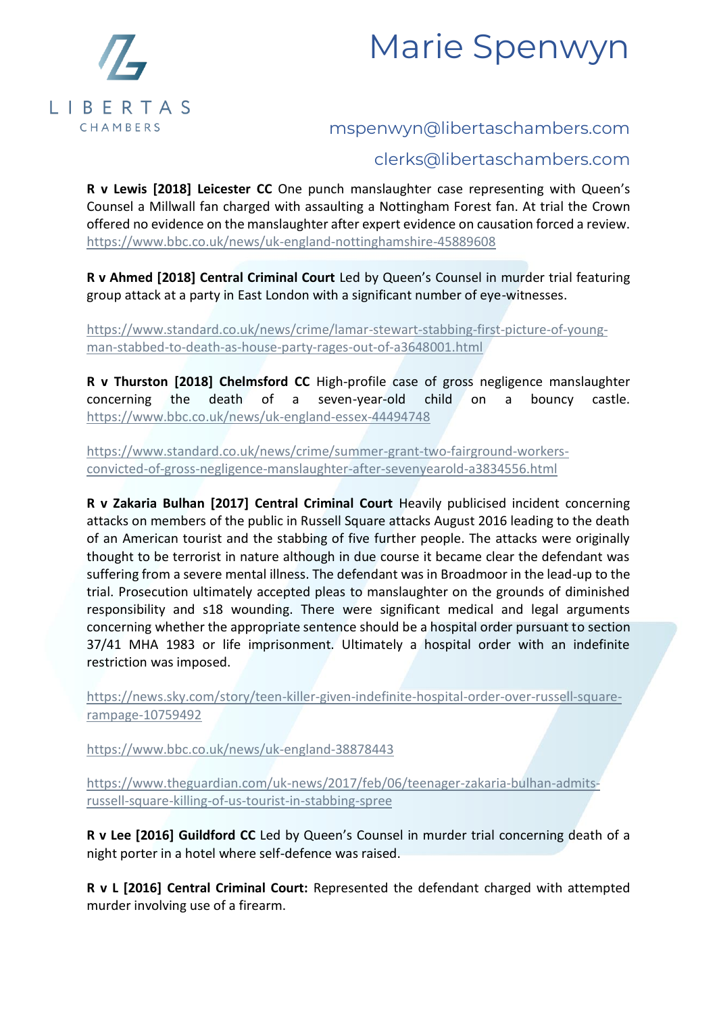



### clerks@libertaschambers.com

**R v Lewis [2018] Leicester CC** One punch manslaughter case representing with Queen's Counsel a Millwall fan charged with assaulting a Nottingham Forest fan. At trial the Crown offered no evidence on the manslaughter after expert evidence on causation forced a review. <https://www.bbc.co.uk/news/uk-england-nottinghamshire-45889608>

**R v Ahmed [2018] Central Criminal Court** Led by Queen's Counsel in murder trial featuring group attack at a party in East London with a significant number of eye-witnesses.

[https://www.standard.co.uk/news/crime/lamar-stewart-stabbing-first-picture-of-young](https://www.standard.co.uk/news/crime/lamar-stewart-stabbing-first-picture-of-young-man-stabbed-to-death-as-house-party-rages-out-of-a3648001.html)[man-stabbed-to-death-as-house-party-rages-out-of-a3648001.html](https://www.standard.co.uk/news/crime/lamar-stewart-stabbing-first-picture-of-young-man-stabbed-to-death-as-house-party-rages-out-of-a3648001.html)

**R v Thurston [2018] Chelmsford CC** High-profile case of gross negligence manslaughter concerning the death of a seven-year-old child on a bouncy castle. <https://www.bbc.co.uk/news/uk-england-essex-44494748>

[https://www.standard.co.uk/news/crime/summer-grant-two-fairground-workers](https://www.standard.co.uk/news/crime/summer-grant-two-fairground-workers-convicted-of-gross-negligence-manslaughter-after-sevenyearold-a3834556.html)[convicted-of-gross-negligence-manslaughter-after-sevenyearold-a3834556.html](https://www.standard.co.uk/news/crime/summer-grant-two-fairground-workers-convicted-of-gross-negligence-manslaughter-after-sevenyearold-a3834556.html)

**R v Zakaria Bulhan [2017] Central Criminal Court** Heavily publicised incident concerning attacks on members of the public in Russell Square attacks August 2016 leading to the death of an American tourist and the stabbing of five further people. The attacks were originally thought to be terrorist in nature although in due course it became clear the defendant was suffering from a severe mental illness. The defendant was in Broadmoor in the lead-up to the trial. Prosecution ultimately accepted pleas to manslaughter on the grounds of diminished responsibility and s18 wounding. There were significant medical and legal arguments concerning whether the appropriate sentence should be a hospital order pursuant to section 37/41 MHA 1983 or life imprisonment. Ultimately a hospital order with an indefinite restriction was imposed.

[https://news.sky.com/story/teen-killer-given-indefinite-hospital-order-over-russell-square](https://news.sky.com/story/teen-killer-given-indefinite-hospital-order-over-russell-square-rampage-10759492)[rampage-10759492](https://news.sky.com/story/teen-killer-given-indefinite-hospital-order-over-russell-square-rampage-10759492)

<https://www.bbc.co.uk/news/uk-england-38878443>

[https://www.theguardian.com/uk-news/2017/feb/06/teenager-zakaria-bulhan-admits](https://www.theguardian.com/uk-news/2017/feb/06/teenager-zakaria-bulhan-admits-russell-square-killing-of-us-tourist-in-stabbing-spree)[russell-square-killing-of-us-tourist-in-stabbing-spree](https://www.theguardian.com/uk-news/2017/feb/06/teenager-zakaria-bulhan-admits-russell-square-killing-of-us-tourist-in-stabbing-spree)

**R v Lee [2016] Guildford CC** Led by Queen's Counsel in murder trial concerning death of a night porter in a hotel where self-defence was raised.

**R v L [2016] Central Criminal Court:** Represented the defendant charged with attempted murder involving use of a firearm.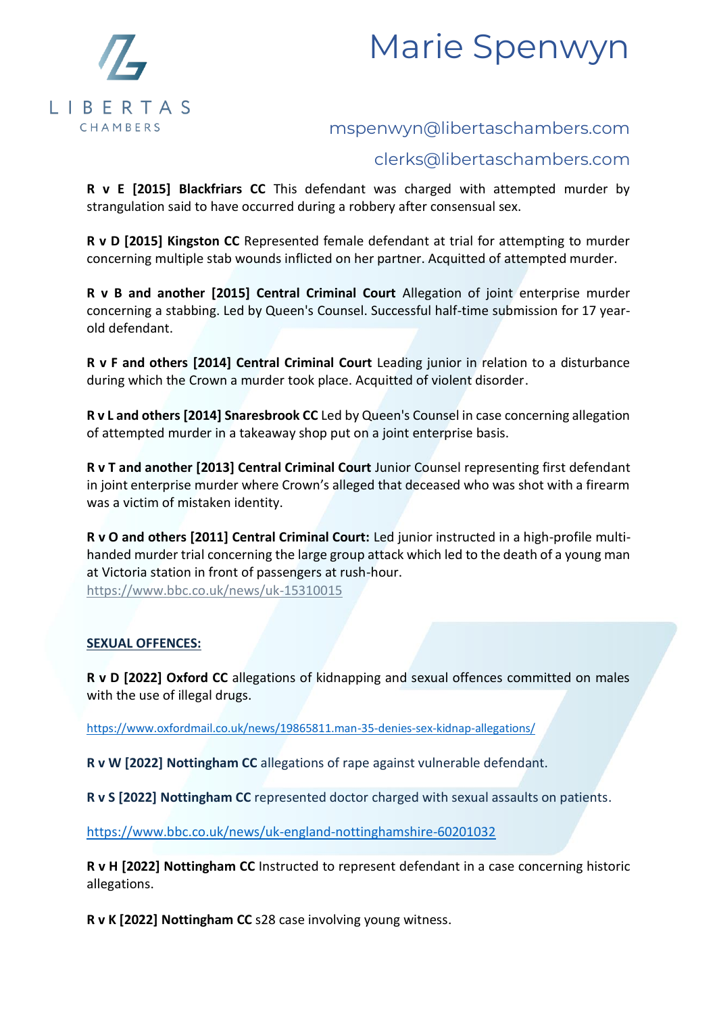



### clerks@libertaschambers.com

**R v E [2015] Blackfriars CC** This defendant was charged with attempted murder by strangulation said to have occurred during a robbery after consensual sex.

**R v D [2015] Kingston CC** Represented female defendant at trial for attempting to murder concerning multiple stab wounds inflicted on her partner. Acquitted of attempted murder.

**R v B and another [2015] Central Criminal Court** Allegation of joint enterprise murder concerning a stabbing. Led by Queen's Counsel. Successful half-time submission for 17 yearold defendant.

**R v F and others [2014] Central Criminal Court** Leading junior in relation to a disturbance during which the Crown a murder took place. Acquitted of violent disorder.

**R v L and others [2014] Snaresbrook CC** Led by Queen's Counsel in case concerning allegation of attempted murder in a takeaway shop put on a joint enterprise basis.

**R v T and another [2013] Central Criminal Court** Junior Counsel representing first defendant in joint enterprise murder where Crown's alleged that deceased who was shot with a firearm was a victim of mistaken identity.

**R v O and others [2011] Central Criminal Court:** Led junior instructed in a high-profile multihanded murder trial concerning the large group attack which led to the death of a young man at Victoria station in front of passengers at rush-hour. <https://www.bbc.co.uk/news/uk-15310015>

### **SEXUAL OFFENCES:**

**R v D [2022] Oxford CC** allegations of kidnapping and sexual offences committed on males with the use of illegal drugs.

<https://www.oxfordmail.co.uk/news/19865811.man-35-denies-sex-kidnap-allegations/>

**R v W [2022] Nottingham CC** allegations of rape against vulnerable defendant.

**R v S [2022] Nottingham CC** represented doctor charged with sexual assaults on patients.

<https://www.bbc.co.uk/news/uk-england-nottinghamshire-60201032>

**R v H [2022] Nottingham CC** Instructed to represent defendant in a case concerning historic allegations.

**R v K [2022] Nottingham CC** s28 case involving young witness.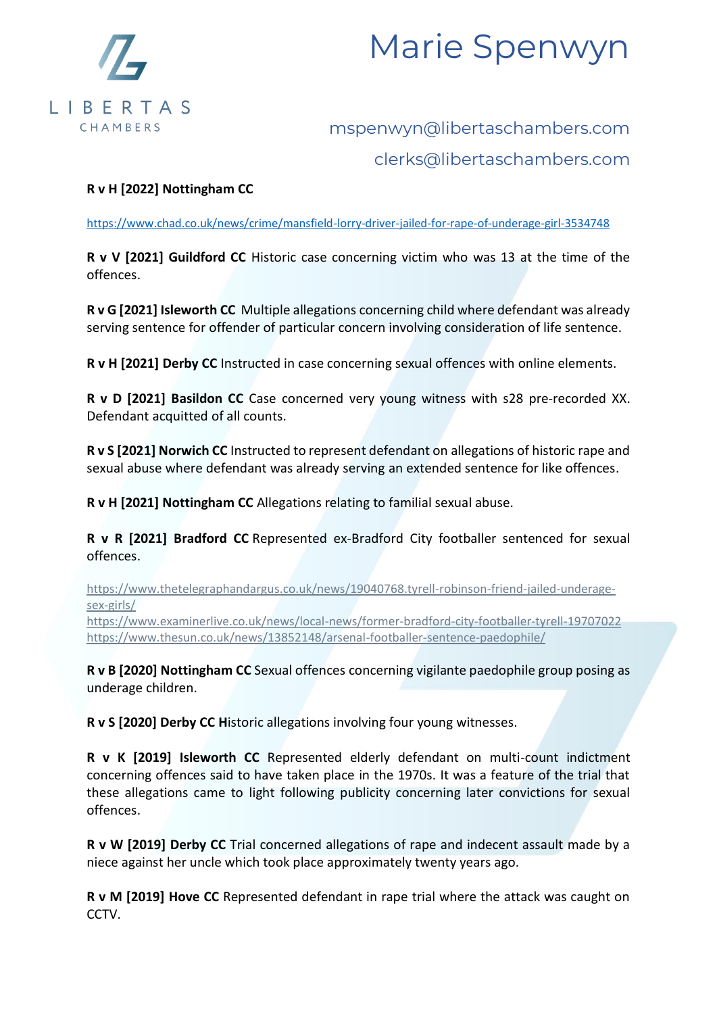

# mspenwyn@libertaschambers.com clerks@libertaschambers.com

### **R v H [2022] Nottingham CC**

<https://www.chad.co.uk/news/crime/mansfield-lorry-driver-jailed-for-rape-of-underage-girl-3534748>

**R v V [2021] Guildford CC** Historic case concerning victim who was 13 at the time of the offences.

**R v G [2021] Isleworth CC** Multiple allegations concerning child where defendant was already serving sentence for offender of particular concern involving consideration of life sentence.

**R v H [2021] Derby CC** Instructed in case concerning sexual offences with online elements.

**R v D [2021] Basildon CC** Case concerned very young witness with s28 pre-recorded XX. Defendant acquitted of all counts.

**R v S [2021] Norwich CC** Instructed to represent defendant on allegations of historic rape and sexual abuse where defendant was already serving an extended sentence for like offences.

**R v H [2021] Nottingham CC** Allegations relating to familial sexual abuse.

**R v R [2021] Bradford CC** Represented ex-Bradford City footballer sentenced for sexual offences.

[https://www.thetelegraphandargus.co.uk/news/19040768.tyrell-robinson-friend-jailed-underage](https://www.thetelegraphandargus.co.uk/news/19040768.tyrell-robinson-friend-jailed-underage-sex-girls/)[sex-girls/](https://www.thetelegraphandargus.co.uk/news/19040768.tyrell-robinson-friend-jailed-underage-sex-girls/)

<https://www.examinerlive.co.uk/news/local-news/former-bradford-city-footballer-tyrell-19707022> <https://www.thesun.co.uk/news/13852148/arsenal-footballer-sentence-paedophile/>

**R v B [2020] Nottingham CC** Sexual offences concerning vigilante paedophile group posing as underage children.

**R v S [2020] Derby CC H**istoric allegations involving four young witnesses.

**R v K [2019] Isleworth CC** Represented elderly defendant on multi-count indictment concerning offences said to have taken place in the 1970s. It was a feature of the trial that these allegations came to light following publicity concerning later convictions for sexual offences.

**R v W [2019] Derby CC** Trial concerned allegations of rape and indecent assault made by a niece against her uncle which took place approximately twenty years ago.

**R v M [2019] Hove CC** Represented defendant in rape trial where the attack was caught on CCTV.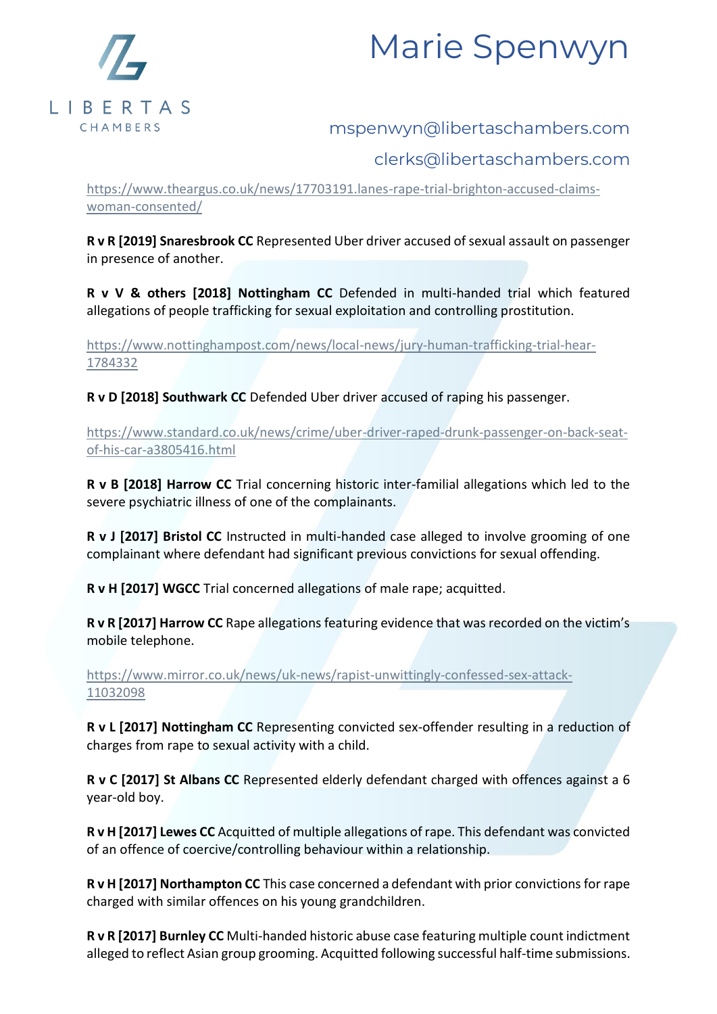

# mspenwyn@libertaschambers.com

# clerks@libertaschambers.com

[https://www.theargus.co.uk/news/17703191.lanes-rape-trial-brighton-accused-claims](https://www.theargus.co.uk/news/17703191.lanes-rape-trial-brighton-accused-claims-woman-consented/)[woman-consented/](https://www.theargus.co.uk/news/17703191.lanes-rape-trial-brighton-accused-claims-woman-consented/)

**R v R [2019] Snaresbrook CC** Represented Uber driver accused of sexual assault on passenger in presence of another.

**R v V & others [2018] Nottingham CC** Defended in multi-handed trial which featured allegations of people trafficking for sexual exploitation and controlling prostitution.

[https://www.nottinghampost.com/news/local-news/jury-human-trafficking-trial-hear-](https://www.nottinghampost.com/news/local-news/jury-human-trafficking-trial-hear-1784332)[1784332](https://www.nottinghampost.com/news/local-news/jury-human-trafficking-trial-hear-1784332)

**R v D [2018] Southwark CC** Defended Uber driver accused of raping his passenger.

[https://www.standard.co.uk/news/crime/uber-driver-raped-drunk-passenger-on-back-seat](https://www.standard.co.uk/news/crime/uber-driver-raped-drunk-passenger-on-back-seat-of-his-car-a3805416.html)[of-his-car-a3805416.html](https://www.standard.co.uk/news/crime/uber-driver-raped-drunk-passenger-on-back-seat-of-his-car-a3805416.html)

**R v B [2018] Harrow CC** Trial concerning historic inter-familial allegations which led to the severe psychiatric illness of one of the complainants.

**R v J [2017] Bristol CC** Instructed in multi-handed case alleged to involve grooming of one complainant where defendant had significant previous convictions for sexual offending.

**R v H [2017] WGCC** Trial concerned allegations of male rape; acquitted.

**R v R [2017] Harrow CC** Rape allegations featuring evidence that was recorded on the victim's mobile telephone.

[https://www.mirror.co.uk/news/uk-news/rapist-unwittingly-confessed-sex-attack-](https://www.mirror.co.uk/news/uk-news/rapist-unwittingly-confessed-sex-attack-11032098)[11032098](https://www.mirror.co.uk/news/uk-news/rapist-unwittingly-confessed-sex-attack-11032098)

**R v L [2017] Nottingham CC** Representing convicted sex-offender resulting in a reduction of charges from rape to sexual activity with a child.

**R v C [2017] St Albans CC** Represented elderly defendant charged with offences against a 6 year-old boy.

**R v H [2017] Lewes CC** Acquitted of multiple allegations of rape. This defendant was convicted of an offence of coercive/controlling behaviour within a relationship.

**R v H [2017] Northampton CC** This case concerned a defendant with prior convictions for rape charged with similar offences on his young grandchildren.

**R v R [2017] Burnley CC** Multi-handed historic abuse case featuring multiple count indictment alleged to reflect Asian group grooming. Acquitted following successful half-time submissions.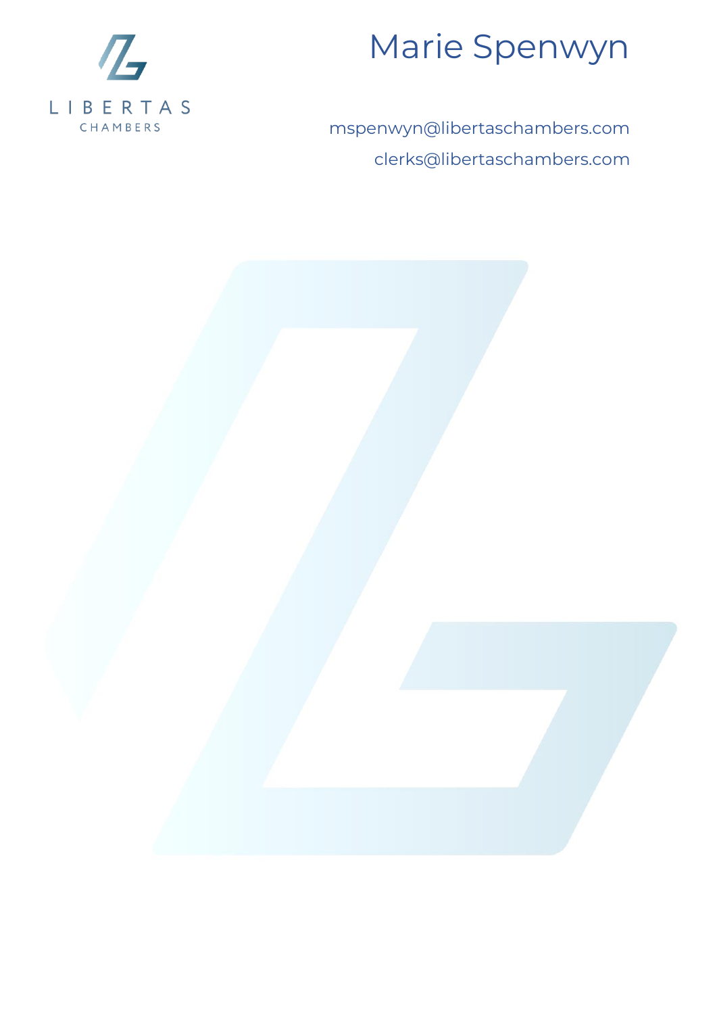

mspenwyn@libertaschambers.com clerks@libertaschambers.com

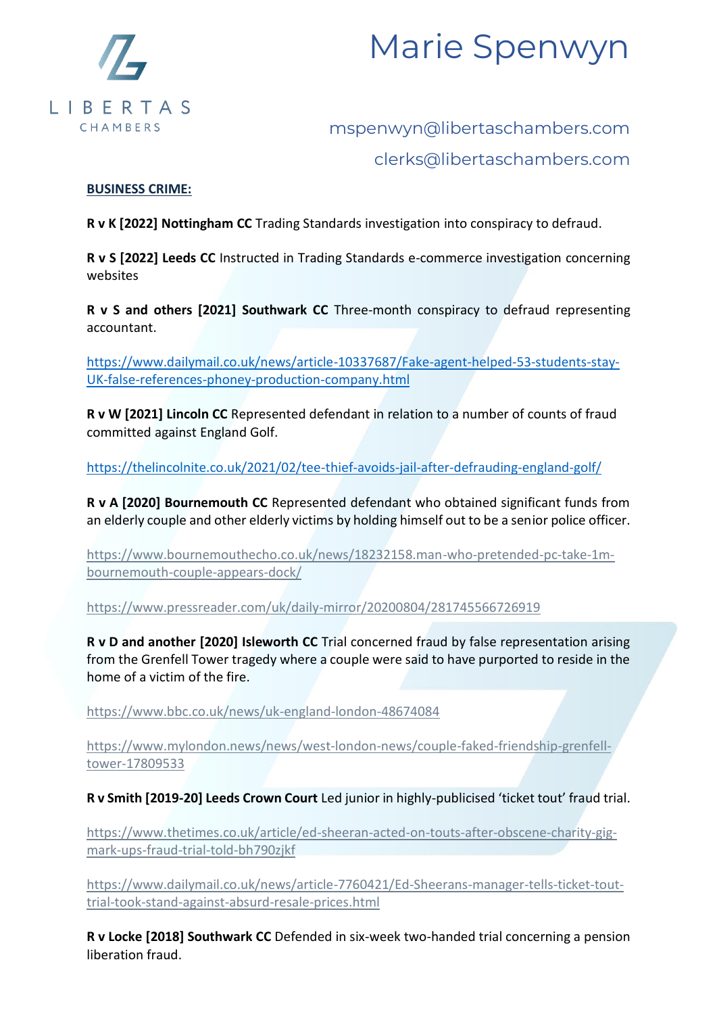

# mspenwyn@libertaschambers.com clerks@libertaschambers.com

### **BUSINESS CRIME:**

**R v K [2022] Nottingham CC** Trading Standards investigation into conspiracy to defraud.

**R v S [2022] Leeds CC** Instructed in Trading Standards e-commerce investigation concerning websites

**R v S and others [2021] Southwark CC** Three-month conspiracy to defraud representing accountant.

[https://www.dailymail.co.uk/news/article-10337687/Fake-agent-helped-53-students-stay-](https://www.dailymail.co.uk/news/article-10337687/Fake-agent-helped-53-students-stay-UK-false-references-phoney-production-company.html)[UK-false-references-phoney-production-company.html](https://www.dailymail.co.uk/news/article-10337687/Fake-agent-helped-53-students-stay-UK-false-references-phoney-production-company.html)

**R v W [2021] Lincoln CC** Represented defendant in relation to a number of counts of fraud committed against England Golf.

<https://thelincolnite.co.uk/2021/02/tee-thief-avoids-jail-after-defrauding-england-golf/>

**R v A [2020] Bournemouth CC** Represented defendant who obtained significant funds from an elderly couple and other elderly victims by holding himself out to be a senior police officer.

[https://www.bournemouthecho.co.uk/news/18232158.man-who-pretended-pc-take-1m](https://www.bournemouthecho.co.uk/news/18232158.man-who-pretended-pc-take-1m-bournemouth-couple-appears-dock/)[bournemouth-couple-appears-dock/](https://www.bournemouthecho.co.uk/news/18232158.man-who-pretended-pc-take-1m-bournemouth-couple-appears-dock/)

<https://www.pressreader.com/uk/daily-mirror/20200804/281745566726919>

**R v D and another [2020] Isleworth CC** Trial concerned fraud by false representation arising from the Grenfell Tower tragedy where a couple were said to have purported to reside in the home of a victim of the fire.

<https://www.bbc.co.uk/news/uk-england-london-48674084>

[https://www.mylondon.news/news/west-london-news/couple-faked-friendship-grenfell](https://www.mylondon.news/news/west-london-news/couple-faked-friendship-grenfell-tower-17809533)[tower-17809533](https://www.mylondon.news/news/west-london-news/couple-faked-friendship-grenfell-tower-17809533)

### **R v Smith [2019-20] Leeds Crown Court** Led junior in highly-publicised 'ticket tout' fraud trial.

[https://www.thetimes.co.uk/article/ed-sheeran-acted-on-touts-after-obscene-charity-gig](https://www.thetimes.co.uk/article/ed-sheeran-acted-on-touts-after-obscene-charity-gig-mark-ups-fraud-trial-told-bh790zjkf)[mark-ups-fraud-trial-told-bh790zjkf](https://www.thetimes.co.uk/article/ed-sheeran-acted-on-touts-after-obscene-charity-gig-mark-ups-fraud-trial-told-bh790zjkf)

[https://www.dailymail.co.uk/news/article-7760421/Ed-Sheerans-manager-tells-ticket-tout](https://www.dailymail.co.uk/news/article-7760421/Ed-Sheerans-manager-tells-ticket-tout-trial-took-stand-against-absurd-resale-prices.html)[trial-took-stand-against-absurd-resale-prices.html](https://www.dailymail.co.uk/news/article-7760421/Ed-Sheerans-manager-tells-ticket-tout-trial-took-stand-against-absurd-resale-prices.html)

**R v Locke [2018] Southwark CC** Defended in six-week two-handed trial concerning a pension liberation fraud.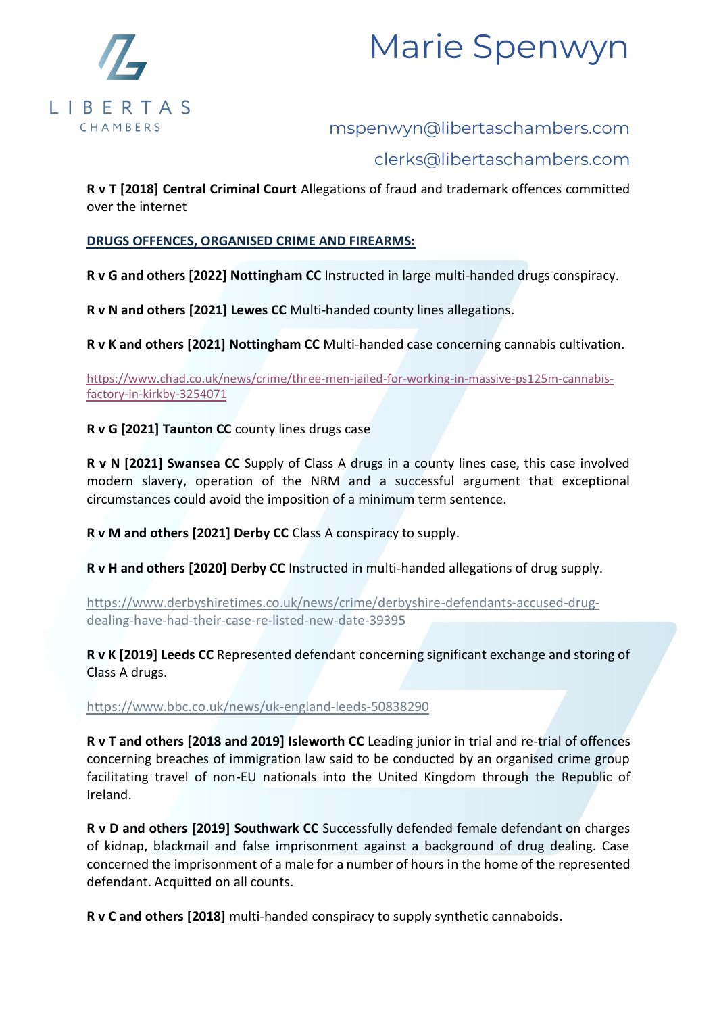



## clerks@libertaschambers.com

**R v T [2018] Central Criminal Court** Allegations of fraud and trademark offences committed over the internet

### **DRUGS OFFENCES, ORGANISED CRIME AND FIREARMS:**

**R v G and others [2022] Nottingham CC** Instructed in large multi-handed drugs conspiracy.

**R v N and others [2021] Lewes CC** Multi-handed county lines allegations.

**R v K and others [2021] Nottingham CC** Multi-handed case concerning cannabis cultivation.

[https://www.chad.co.uk/news/crime/three-men-jailed-for-working-in-massive-ps125m-cannabis](https://www.chad.co.uk/news/crime/three-men-jailed-for-working-in-massive-ps125m-cannabis-factory-in-kirkby-3254071)[factory-in-kirkby-3254071](https://www.chad.co.uk/news/crime/three-men-jailed-for-working-in-massive-ps125m-cannabis-factory-in-kirkby-3254071)

**R v G [2021] Taunton CC** county lines drugs case

**R v N [2021] Swansea CC** Supply of Class A drugs in a county lines case, this case involved modern slavery, operation of the NRM and a successful argument that exceptional circumstances could avoid the imposition of a minimum term sentence.

**R v M and others [2021] Derby CC** Class A conspiracy to supply.

**R v H and others [2020] Derby CC** Instructed in multi-handed allegations of drug supply.

[https://www.derbyshiretimes.co.uk/news/crime/derbyshire-defendants-accused-drug](https://www.derbyshiretimes.co.uk/news/crime/derbyshire-defendants-accused-drug-dealing-have-had-their-case-re-listed-new-date-39395)[dealing-have-had-their-case-re-listed-new-date-39395](https://www.derbyshiretimes.co.uk/news/crime/derbyshire-defendants-accused-drug-dealing-have-had-their-case-re-listed-new-date-39395)

**R v K [2019] Leeds CC** Represented defendant concerning significant exchange and storing of Class A drugs.

<https://www.bbc.co.uk/news/uk-england-leeds-50838290>

**R v T and others [2018 and 2019] Isleworth CC** Leading junior in trial and re-trial of offences concerning breaches of immigration law said to be conducted by an organised crime group facilitating travel of non-EU nationals into the United Kingdom through the Republic of Ireland.

**R v D and others [2019] Southwark CC** Successfully defended female defendant on charges of kidnap, blackmail and false imprisonment against a background of drug dealing. Case concerned the imprisonment of a male for a number of hours in the home of the represented defendant. Acquitted on all counts.

**R v C and others [2018]** multi-handed conspiracy to supply synthetic cannaboids.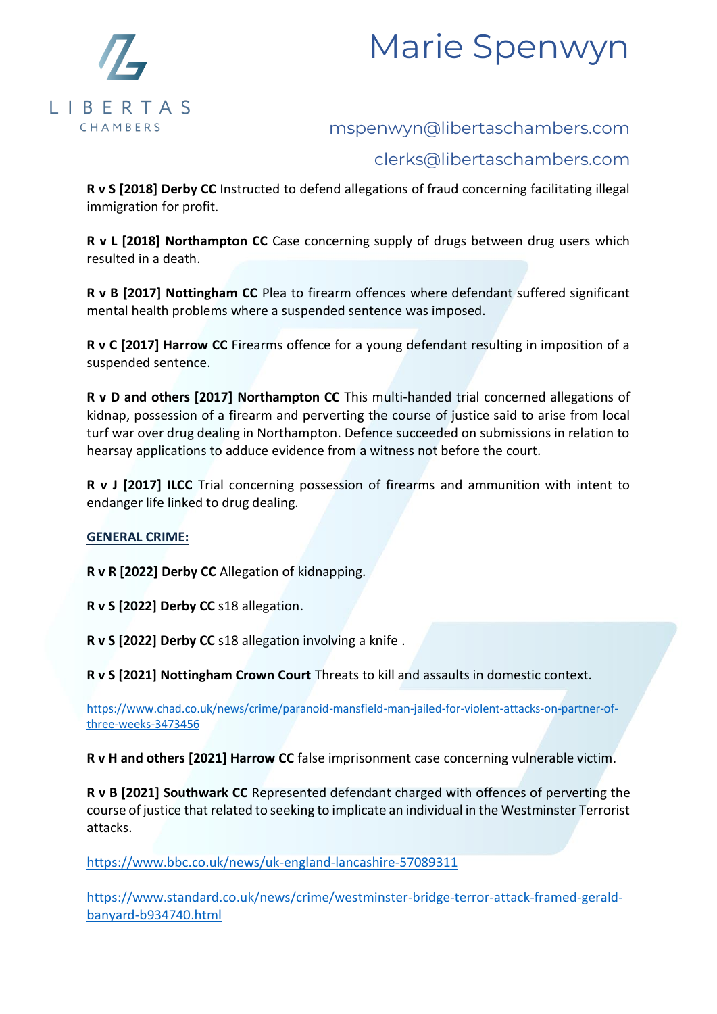



## clerks@libertaschambers.com

**R v S [2018] Derby CC** Instructed to defend allegations of fraud concerning facilitating illegal immigration for profit.

**R v L [2018] Northampton CC** Case concerning supply of drugs between drug users which resulted in a death.

**R v B [2017] Nottingham CC** Plea to firearm offences where defendant suffered significant mental health problems where a suspended sentence was imposed.

**R v C [2017] Harrow CC** Firearms offence for a young defendant resulting in imposition of a suspended sentence.

**R v D and others [2017] Northampton CC** This multi-handed trial concerned allegations of kidnap, possession of a firearm and perverting the course of justice said to arise from local turf war over drug dealing in Northampton. Defence succeeded on submissions in relation to hearsay applications to adduce evidence from a witness not before the court.

**R v J [2017] ILCC** Trial concerning possession of firearms and ammunition with intent to endanger life linked to drug dealing.

### **GENERAL CRIME:**

**R v R [2022] Derby CC** Allegation of kidnapping.

**R v S [2022] Derby CC** s18 allegation.

**R v S [2022] Derby CC** s18 allegation involving a knife .

**R v S [2021] Nottingham Crown Court** Threats to kill and assaults in domestic context.

[https://www.chad.co.uk/news/crime/paranoid-mansfield-man-jailed-for-violent-attacks-on-partner-of](https://www.chad.co.uk/news/crime/paranoid-mansfield-man-jailed-for-violent-attacks-on-partner-of-three-weeks-3473456)[three-weeks-3473456](https://www.chad.co.uk/news/crime/paranoid-mansfield-man-jailed-for-violent-attacks-on-partner-of-three-weeks-3473456)

**R v H and others [2021] Harrow CC** false imprisonment case concerning vulnerable victim.

**R v B [2021] Southwark CC** Represented defendant charged with offences of perverting the course of justice that related to seeking to implicate an individual in the Westminster Terrorist attacks.

<https://www.bbc.co.uk/news/uk-england-lancashire-57089311>

[https://www.standard.co.uk/news/crime/westminster-bridge-terror-attack-framed-gerald](https://www.standard.co.uk/news/crime/westminster-bridge-terror-attack-framed-gerald-banyard-b934740.html)[banyard-b934740.html](https://www.standard.co.uk/news/crime/westminster-bridge-terror-attack-framed-gerald-banyard-b934740.html)